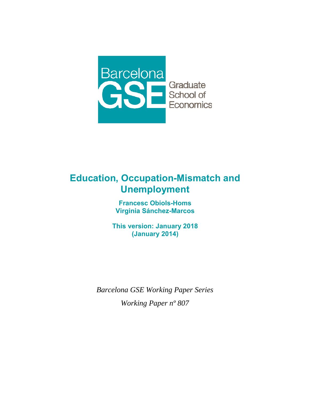

# **Education, Occupation-Mismatch and Unemployment**

**Francesc Obiols-Homs Virginia Sánchez-Marcos** 

**This version: January 2018 (January 2014)** 

*Barcelona GSE Working Paper Series Working Paper nº 807*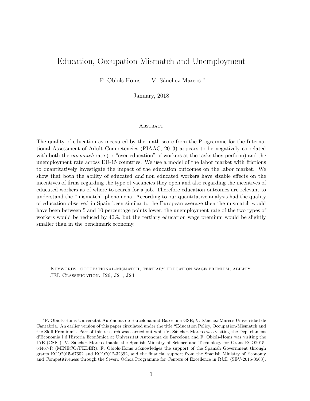# Education, Occupation-Mismatch and Unemployment

F. Obiols-Homs V. Sánchez-Marcos \*

January, 2018

#### **ABSTRACT**

The quality of education as measured by the math score from the Programme for the International Assessment of Adult Competencies (PIAAC, 2013) appears to be negatively correlated with both the *mismatch* rate (or "over-education" of workers at the tasks they perform) and the unemployment rate across EU-15 countries. We use a model of the labor market with frictions to quantitatively investigate the impact of the education outcomes on the labor market. We show that both the ability of educated and non educated workers have sizable effects on the incentives of firms regarding the type of vacancies they open and also regarding the incentives of educated workers as of where to search for a job. Therefore education outcomes are relevant to understand the "mismatch" phenomena. According to our quantitative analysis had the quality of education observed in Spain been similar to the European average then the mismatch would have been between 5 and 10 percentage points lower, the unemployment rate of the two types of workers would be reduced by 40%, but the tertiary education wage premium would be slightly smaller than in the benchmark economy.

Keywords: occupational-mismatch, tertiary education wage premium, ability JEL CLASSIFICATION: I26, J21, J24

<sup>∗</sup>F. Obiols-Homs Universitat Aut`onoma de Barcelona and Barcelona GSE; V. S´anchez-Marcos Universidad de Cantabria. An earlier version of this paper circulated under the title "Education Policy, Occupation-Mismatch and the Skill Premium". Part of this research was carried out while V. Sánchez-Marcos was visiting the Departament d'Economia i d'Història Econòmica at Universitat Autònoma de Barcelona and F. Obiols-Homs was visiting the IAE (CSIC). V. Sánchez-Marcos thanks the Spanish Ministry of Science and Technology for Grant ECO2015-64467-R (MINECO/FEDER). F. Obiols-Homs acknowledges the support of the Spanish Government through grants ECO2015-67602 and ECO2012-32392, and the financial support from the Spanish Ministry of Economy and Competitiveness through the Severo Ochoa Programme for Centers of Excellence in R&D (SEV-2015-0563).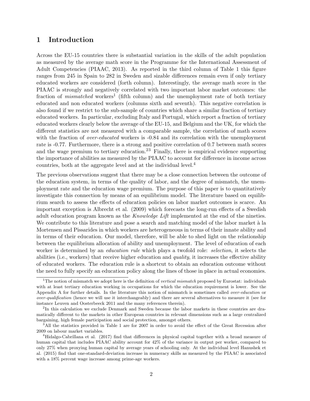# 1 Introduction

Across the EU-15 countries there is substantial variation in the skills of the adult population as measured by the average math score in the Programme for the International Assessment of Adult Competencies (PIAAC, 2013). As reported in the third column of Table 1 this figure ranges from 245 in Spain to 282 in Sweden and sizable differences remain even if only tertiary educated workers are considered (forth column). Interestingly, the average math score in the PIAAC is strongly and negatively correlated with two important labor market outcomes: the fraction of *mismatched* workers<sup>1</sup> (fifth column) and the unemployment rate of both tertiary educated and non educated workers (columns sixth and seventh). This negative correlation is also found if we restrict to the sub-sample of countries which share a similar fraction of tertiary educated workers. In particular, excluding Italy and Portugal, which report a fraction of tertiary educated workers clearly below the average of the EU-15, and Belgium and the UK, for which the different statistics are not measured with a comparable sample, the correlation of math scores with the fraction of *over-educated* workers is  $-0.84$  and its correlation with the unemployment rate is -0.77. Furthermore, there is a strong and positive correlation of 0.7 between math scores and the wage premium to tertiary education.<sup>23</sup> Finally, there is empirical evidence supporting the importance of abilities as measured by the PIAAC to account for difference in income across countries, both at the aggregate level and at the individual level.<sup>4</sup>

The previous observations suggest that there may be a close connection between the outcome of the education system, in terms of the quality of labor, and the degree of mismatch, the unemployment rate and the education wage premium. The purpose of this paper is to quantitatively investigate this connection by means of an equilibrium model. The literature based on equilibrium search to assess the effects of education policies on labor market outcomes is scarce. An important exception is Albrecht et al. (2009) which forecasts the long-run effects of a Swedish adult education program known as the Knowledge Lift implemented at the end of the nineties. We contribute to this literature and pose a search and matching model of the labor market à la Mortensen and Pissarides in which workers are heterogeneous in terms of their innate ability and in terms of their education. Our model, therefore, will be able to shed light on the relationship between the equilibrium allocation of ability and unemployment. The level of education of each worker is determined by an *education rule* which plays a twofold role: *selection*, it selects the abilities (i.e., workers) that receive higher education and *quality*, it increases the effective ability of educated workers. The education rule is a shortcut to obtain an education outcome without the need to fully specify an education policy along the lines of those in place in actual economies.

<sup>&</sup>lt;sup>1</sup>The notion of mismatch we adopt here is the definition of *vertical mismatch* proposed by Eurostat: individuals with at least tertiary education working in occupations for which the education requirement is lower. See the Appendix A for further details. In the literature this notion of mismatch is sometimes called over-education or over-qualification (hence we will use it interchangeably) and there are several alternatives to measure it (see for instance Leuven and Oosterbeeck 2011 and the many references therein).

<sup>&</sup>lt;sup>2</sup>In this calculation we exclude Denmark and Sweden because the labor markets in these countries are dramatically different to the markets in other European countries in relevant dimensions such as a large centralized bargaining, high female participation and social protection, amongst others.

<sup>&</sup>lt;sup>3</sup>All the statistics provided in Table 1 are for 2007 in order to avoid the effect of the Great Recession after 2009 on labour market variables.

<sup>4</sup>Hidalgo-Cabrillana et al. (2017) find that differences in physical capital together with a broad measure of human capital that includes PIAAC ability account for 42% of the variance in output per worker, compared to only 27% when proxying human capital by average years of schooling only. At the individual level Hanushek et al. (2015) find that one-standard-deviation increase in numeracy skills as measured by the PIAAC is associated with a 18% percent wage increase among prime-age workers.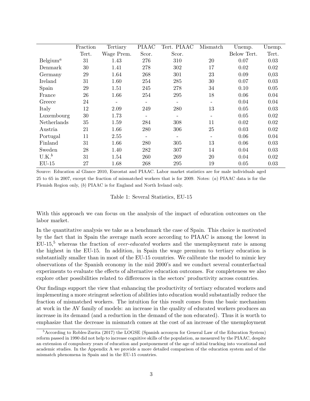|                      | Fraction | Tertiary                     | <b>PIAAC</b>             | Tert. PIAAC              | Mismatch | Unemp.      | Unemp. |
|----------------------|----------|------------------------------|--------------------------|--------------------------|----------|-------------|--------|
|                      | Tert.    | Wage Prem.                   | Scor.                    | Scor.                    |          | Below Tert. | Tert.  |
| Belgium <sup>a</sup> | 31       | 1.43                         | 276                      | 310                      | 20       | 0.07        | 0.03   |
| Denmark              | 30       | 1.41                         | 278                      | 302                      | 17       | 0.02        | 0.02   |
| Germany              | 29       | 1.64                         | 268                      | 301                      | 23       | 0.09        | 0,03   |
| Ireland              | 31       | 1.60                         | 254                      | 285                      | 30       | 0.07        | 0.03   |
| Spain                | 29       | 1.51                         | 245                      | 278                      | 34       | 0.10        | 0.05   |
| France               | 26       | 1.66                         | 254                      | 295                      | 18       | 0.06        | 0.04   |
| Greece               | 24       | $\qquad \qquad \blacksquare$ | $\overline{\phantom{a}}$ | -                        |          | 0.04        | 0.04   |
| Italy                | 12       | 2.09                         | 249                      | 280                      | 13       | 0.05        | 0.03   |
| Luxembourg           | 30       | 1.73                         | $\qquad \qquad -$        | $\overline{\phantom{a}}$ |          | 0.05        | 0.02   |
| Netherlands          | 35       | 1.59                         | 284                      | 308                      | 11       | 0.02        | 0.02   |
| Austria              | 21       | 1.66                         | 280                      | 306                      | 25       | 0.03        | 0.02   |
| Portugal             | 11       | 2.55                         | $\overline{\phantom{a}}$ | $\overline{\phantom{a}}$ | -        | 0.06        | 0.04   |
| Finland              | 31       | 1.66                         | 280                      | 305                      | 13       | 0.06        | 0.03   |
| Sweden               | 28       | 1.40                         | 282                      | 307                      | 14       | 0.04        | 0.03   |
| $U.K.^b$             | 31       | 1.54                         | 260                      | 269                      | 20       | 0.04        | 0.02   |
| $EU-15$              | 27       | 1.68                         | 268                      | 295                      | 19       | 0.05        | 0.03   |

Source: Education al Glance 2010, Eurostat and PIAAC. Labor market statistics are for male individuals aged 25 to 65 in 2007, except the fraction of mismatched workers that is for 2009. Notes: (a) PIAAC data is for the Flemish Region only, (b) PIAAC is for England and North Ireland only.

Table 1: Several Statistics, EU-15

With this approach we can focus on the analysis of the impact of education outcomes on the labor market.

In the quantitative analysis we take as a benchmark the case of Spain. This choice is motivated by the fact that in Spain the average math score according to PIAAC is among the lowest in  $EU-15<sup>5</sup>$  whereas the fraction of *over-educated* workers and the unemployment rate is among the highest in the EU-15. In addition, in Spain the wage premium to tertiary education is substantially smaller than in most of the EU-15 countries. We calibrate the model to mimic key observations of the Spanish economy in the mid 2000's and we conduct several counterfactual experiments to evaluate the effects of alternative education outcomes. For completeness we also explore other possibilities related to differences in the sectors' productivity across countries.

Our findings support the view that enhancing the productivity of tertiary educated workers and implementing a more stringent selection of abilities into education would substantially reduce the fraction of mismatched workers. The intuition for this result comes from the basic mechanism at work in the AV family of models: an increase in the quality of educated workers produces an increase in its demand (and a reduction in the demand of the non educated). Thus it is worth to emphasize that the decrease in mismatch comes at the cost of an increase of the unemployment

<sup>5</sup>According to Robles-Zurita (2017) the LOGSE (Spanish acronym for General Law of the Education System) reform passed in 1990 did not help to increase cognitive skills of the population, as measured by the PIAAC, despite an extension of compulsory years of education and postponement of the age of initial tracking into vocational and academic studies. In the Appendix A we provide a more detailed comparison of the education system and of the mismatch phenomena in Spain and in the EU-15 countries.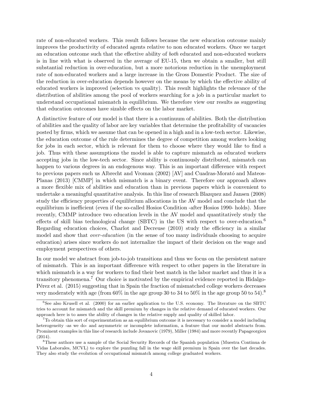rate of non-educated workers. This result follows because the new education outcome mainly improves the productivity of educated agents relative to non educated workers. Once we target an education outcome such that the effective ability of both educated and non-educated workers is in line with what is observed in the average of EU-15, then we obtain a smaller, but still substantial reduction in over-education, but a more notorious reduction in the unemployment rate of non-educated workers and a large increase in the Gross Domestic Product. The size of the reduction in over-education depends however on the means by which the effective ability of educated workers is improved (selection vs quality). This result highlights the relevance of the distribution of abilities among the pool of workers searching for a job in a particular market to understand occupational mismatch in equilibrium. We therefore view our results as suggesting that education outcomes have sizable effects on the labor market.

A distinctive feature of our model is that there is a continuum of abilities. Both the distribution of abilities and the quality of labor are key variables that determine the profitability of vacancies posted by firms, which we assume that can be opened in a high and in a low-tech sector. Likewise, the education outcome of the rule determines the degree of competition among workers looking for jobs in each sector, which is relevant for them to choose where they would like to find a job. Thus with these assumptions the model is able to capture mismatch as educated workers accepting jobs in the low-tech sector. Since ability is continuously distributed, mismatch can happen to various degrees in an endogenous way. This is an important difference with respect to previous papers such us Albrecht and Vroman  $(2002)$   $\vert$ AV $\vert$  and Cuadras-Morató and Mateos-Planas (2013) [CMMP] in which mismatch is a binary event. Therefore our approach allows a more flexible mix of abilities and education than in previous papers which is convenient to undertake a meaningful quantitative analysis. In this line of research Blazquez and Jansen (2008) study the efficiency properties of equilibrium allocations in the AV model and conclude that the equilibrium is inefficient (even if the so-called Hosios Condition -after Hosios 1990- holds). More recently, CMMP introduce two education levels in the AV model and quantitatively study the effects of skill bias technological change (SBTC) in the US with respect to over-education.<sup>6</sup> Regarding education choices, Charlot and Decreuse (2010) study the efficiency in a similar model and show that *over-education* (in the sense of too many individuals choosing to acquire education) arises since workers do not internalize the impact of their decision on the wage and employment perspectives of others.

In our model we abstract from job-to-job transitions and thus we focus on the persistent nature of mismatch. This is an important difference with respect to other papers in the literature in which mismatch is a way for workers to find their best match in the labor market and thus it is a transitory phenomena.<sup>7</sup> Our choice is motivated by the empirical evidence reported in Hidalgo-P<sub>e</sub> et al. (2015) suggesting that in Spain the fraction of mismatched college workers decreases very moderately with age (from  $60\%$  in the age group 30 to 34 to  $50\%$  in the age group 50 to 54).<sup>8</sup>

<sup>&</sup>lt;sup>6</sup>See also Krusell et al. (2000) for an earlier application to the U.S. economy. The literature on the SBTC tries to account for mismatch and the skill premium by changes in the relative demand of educated workers. Our approach here is to asses the ability of changes in the relative supply and quality of skilled labor.

 $7T$ o obtain this sort of experimentation as an equilibrium outcome it is necessary to consider a model including heterogeneity -as we do- and asymmetric or incomplete information, a feature that our model abstracts from. Prominent examples in this line of research include Jovanovic (1979), Miller (1984) and more recently Papageorgiou (2014).

<sup>8</sup>These authors use a sample of the Social Security Records of the Spanish population (Muestra Continua de Vidas Laborales, MCVL) to explore the puzzling fall in the wage skill premium in Spain over the last decades. They also study the evolution of occupational mismatch among college graduated workers.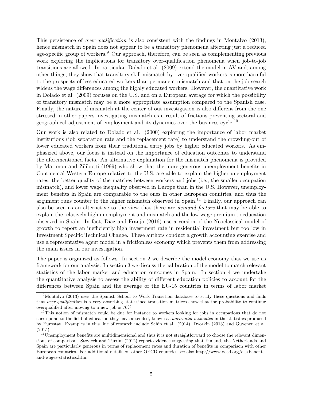This persistence of *over-qualification* is also consistent with the findings in Montalvo (2013), hence mismatch in Spain does not appear to be a transitory phenomena affecting just a reduced age-specific group of workers.<sup>9</sup> Our approach, therefore, can be seen as complementing previous work exploring the implications for transitory over-qualification phenomena when job-to-job transitions are allowed. In particular, Dolado et al. (2009) extend the model in AV and, among other things, they show that transitory skill mismatch by over-qualified workers is more harmful to the prospects of less-educated workers than permanent mismatch and that on-the-job search widens the wage differences among the highly educated workers. However, the quantitative work in Dolado et al. (2009) focuses on the U.S. and on a European average for which the possibility of transitory mismatch may be a more appropriate assumption compared to the Spanish case. Finally, the nature of mismatch at the center of out investigation is also different from the one stressed in other papers investigating mismatch as a result of frictions preventing sectoral and geographical adjustment of employment and its dynamics over the business cycle.<sup>10</sup>

Our work is also related to Dolado et al. (2000) exploring the importance of labor market institutions (job separation rate and the replacement rate) to understand the crowding-out of lower educated workers from their traditional entry jobs by higher educated workers. As emphasized above, our focus is instead on the importance of education outcomes to understand the aforementioned facts. An alternative explanation for the mismatch phenomena is provided by Marimon and Zilibotti (1999) who show that the more generous unemployment benefits in Continental Western Europe relative to the U.S. are able to explain the higher unemployment rates, the better quality of the matches between workers and jobs (i.e., the smaller occupation mismatch), and lower wage inequality observed in Europe than in the U.S. However, unemployment benefits in Spain are comparable to the ones in other European countries, and thus the argument runs counter to the higher mismatch observed in  $Span<sup>11</sup>$  Finally, our approach can also be seen as an alternative to the view that there are demand factors that may be able to explain the relatively high unemployment and mismatch and the low wage premium to education observed in Spain. In fact, D´ıaz and Franjo (2016) use a version of the Neoclassical model of growth to report an inefficiently high investment rate in residential investment but too low in Investment Specific Technical Change. These authors conduct a growth accounting exercise and use a representative agent model in a frictionless economy which prevents them from addressing the main issues in our investigation.

The paper is organized as follows. In section 2 we describe the model economy that we use as framework for our analysis. In section 3 we discuss the calibration of the model to match relevant statistics of the labor market and education outcomes in Spain. In section 4 we undertake the quantitative analysis to assess the ability of different education policies to account for the differences between Spain and the average of the EU-15 countries in terms of labor market

<sup>9</sup>Montalvo (2013) uses the Spanish School to Work Transition database to study these questions and finds that *over-qualification* is a very absorbing state since transition matrices show that the probability to continue overqualified after moving to a new job is 76%.

<sup>&</sup>lt;sup>10</sup>This notion of mismatch could be due for instance to workers looking for jobs in occupations that do not correspond to the field of education they have attended, known as *horizontal mismatch* in the statistics produced by Eurostat. Examples in this line of research include Sahin et al. (2014), Dvorkin (2013) and Guvenen et al. (2015).

<sup>&</sup>lt;sup>11</sup>Unemployment benefits are multidimensional and thus it is not straightforward to choose the relevant dimensions of comparison. Stovicek and Turrini (2012) report evidence suggesting that Finland, the Netherlands and Spain are particularly generous in terms of replacement rates and duration of benefits in comparison with other European countries. For additional details on other OECD countries see also http://www.oecd.org/els/benefitsand-wages-statistics.htm.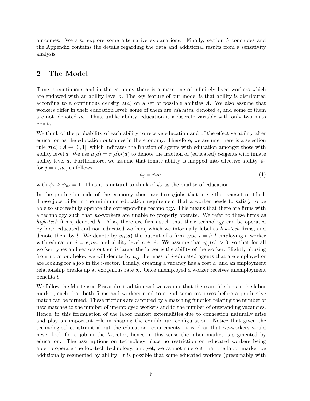outcomes. We also explore some alternative explanations. Finally, section 5 concludes and the Appendix contains the details regarding the data and additional results from a sensitivity analysis.

### 2 The Model

Time is continuous and in the economy there is a mass one of infinitely lived workers which are endowed with an ability level a. The key feature of our model is that ability is distributed according to a continuous density  $\lambda(a)$  on a set of possible abilities A. We also assume that workers differ in their education level: some of them are *educated*, denoted e, and some of them are not, denoted  $ne$ . Thus, unlike ability, education is a discrete variable with only two mass points.

We think of the probability of each ability to receive education and of the effective ability after education as the education outcomes in the economy. Therefore, we assume there is a selection rule  $\sigma(a): A \to [0, 1]$ , which indicates the fraction of agents with education amongst those with ability level a. We use  $\mu(a) = \sigma(a)\lambda(a)$  to denote the fraction of (educated) e-agents with innate ability level a. Furthermore, we assume that innate ability is mapped into effective ability,  $\tilde{a}_i$ for  $j = e$ , *ne*, as follows

$$
\tilde{a}_j = \psi_j a,\tag{1}
$$

with  $\psi_e \geq \psi_{ne} = 1$ . Thus it is natural to think of  $\psi_e$  as the quality of education.

In the production side of the economy there are firms/jobs that are either vacant or filled. These jobs differ in the minimum education requirement that a worker needs to satisfy to be able to successfully operate the corresponding technology. This means that there are firms with a technology such that *ne*-workers are unable to properly operate. We refer to these firms as high-tech firms, denoted h. Also, there are firms such that their technology can be operated by both educated and non educated workers, which we informally label as low-tech firms, and denote them by l. We denote by  $y_{ij}(a)$  the output of a firm type  $i = h, l$  employing a worker with education  $j = e, ne$ , and ability level  $a \in A$ . We assume that  $y'_{ij}(a) > 0$ , so that for all worker types and sectors output is larger the larger is the ability of the worker. Slightly abusing from notation, below we will denote by  $\mu_{ij}$  the mass of j-educated agents that are employed or are looking for a job in the *i*-sector. Finally, creating a vacancy has a cost  $c_v$  and an employment relationship breaks up at exogenous rate  $\delta_i$ . Once unemployed a worker receives unemployment benefits b.

We follow the Mortensen-Pissarides tradition and we assume that there are frictions in the labor market, such that both firms and workers need to spend some resources before a productive match can be formed. These frictions are captured by a matching function relating the number of new matches to the number of unemployed workers and to the number of outstanding vacancies. Hence, in this formulation of the labor market externalities due to congestion naturally arise and play an important role in shaping the equilibrium configuration. Notice that given the technological constraint about the education requirements, it is clear that ne-workers would never look for a job in the h-sector, hence in this sense the labor market is segmented by education. The assumptions on technology place no restriction on educated workers being able to operate the low-tech technology, and yet, we cannot rule out that the labor market be additionally segmented by ability: it is possible that some educated workers (presumably with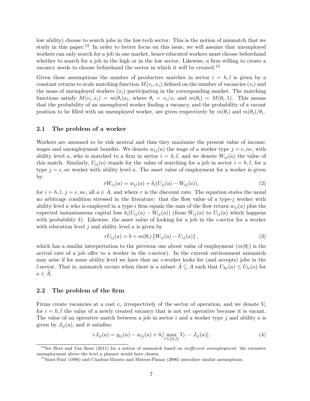low ability) choose to search jobs in the low-tech sector. This is the notion of mismatch that we study in this paper.<sup>12</sup> In order to better focus on this issue, we will assume that unemployed workers can only search for a job in one market, hence educated workers must choose beforehand whether to search for a job in the high or in the low sector. Likewise, a firm willing to create a vacancy needs to choose beforehand the sector in which it will be created.<sup>13</sup>

Given these assumptions the number of productive matches in sector  $i = h, l$  is given by a constant returns to scale matching function  $M(v_i, x_i)$  defined on the number of vacancies  $(v_i)$  and the mass of unemployed workers  $(x_i)$  participating in the corresponding market. The matching functions satisfy  $M(v_i, x_i) = m(\theta_i)x_i$ , where  $\theta_i = v_i/x_i$  and  $m(\theta_i) = M(\theta_i, 1)$ . This means that the probability of an unemployed worker finding a vacancy, and the probability of a vacant position to be filled with an unemployed worker, are given respectively by  $m(\theta_i)$  and  $m(\theta_i)/\theta_i$ .

#### 2.1 The problem of a worker

Workers are assumed to be risk neutral and thus they maximize the present value of income: wages and unemployment benefits. We denote  $w_{ij}(a)$  the wage of a worker type  $j = e, ne$ , with ability level a, who is matched to a firm in sector  $i = h, l$ , and we denote  $W_{ij}(a)$  the value of this match. Similarly,  $U_{ij}(a)$  stands for the value of searching for a job in sector  $i = h, l$ , for a type  $j = e, ne$  worker with ability level a. The asset value of employment for a worker is given by:

$$
rW_{ij}(a) = w_{ij}(a) + \delta_i (U_{ij}(a) - W_{ij}(a)),
$$
\n(2)

for  $i = h, l, j = e, ne$ , all  $a \in A$ , and where r is the discount rate. The equation states the usual no arbitrage condition stressed in the literature: that the flow value of a type-j worker with ability level a who is employed in a type-i firm equals the sum of the flow return  $w_{ij}(a)$  plus the expected instantaneous capital loss  $\delta_i(U_{ij}(a) - W_{ij}(a))$  (from  $W_{ij}(a)$  to  $U_{ij}(a)$  which happens with probability  $\delta$ ). Likewise, the asset value of looking for a job in the *i*-sector for a worker with education level  $j$  and ability level  $a$  is given by

$$
rU_{ij}(a) = b + m(\theta_i) \{ W_{ij}(a) - U_{ij}(a) \}, \qquad (3)
$$

which has a similar interpretation to the previous one about value of employment  $(m(\theta_i))$  is the arrival rate of a job offer to a worker in the  $i$ -sector). In the current environment mismatch may arise if for some ability level we have that an e-worker looks for (and accepts) jobs in the l-sector. That is, mismatch occurs when there is a subset  $\overline{A} \subseteq A$  such that  $U_{he}(a) \leq U_{le}(a)$  for  $a \in A$ .

#### 2.2 The problem of the firm

Firms create vacancies at a cost  $c_v$  irrespectively of the sector of operation, and we denote  $V_i$ for  $i = h, l$  the value of a newly created vacancy that is not yet operative because it is vacant. The value of an operative match between a job in sector i and a worker type j and ability  $a$  is given by  $J_{ij}(a)$ , and it satisfies:

$$
rJ_{ij}(a) = y_{ij}(a) - w_{ij}(a) + \delta_i \left[ \max_{i' \in \{h,l\}} V_{i'} - J_{ij}(a) \right]. \tag{4}
$$

<sup>&</sup>lt;sup>12</sup>See Herz and Van Rens (2011) for a notion of mismatch based on *inefficient unemployment*: the excessive unemployment above the level a planner would have chosen.

 $13$ Saint-Paul (1996) and Cuadras-Morato and Mateos-Planas (2006) introduce similar assumptions.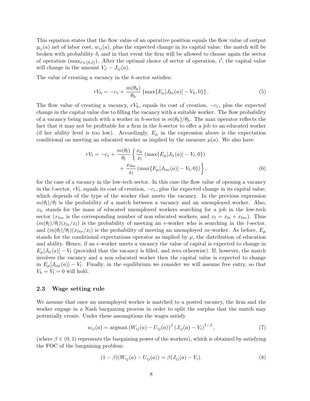This equation states that the flow value of an operative position equals the flow value of output  $y_{ij}(a)$  net of labor cost,  $w_{ij}(a)$ , plus the expected change in its capital value: the match will be broken with probability  $\delta_i$  and in that event the firm will be allowed to choose again the sector of operation  $(\max_{i' \in \{h,l\}})$ . After the optimal choice of sector of operation, i', the capital value will change in the amount  $V_{i'} - J_{ij}(a)$ .

The value of creating a vacancy in the h-sector satisfies:

$$
rV_h = -c_v + \frac{m(\theta_h)}{\theta_h} \left\{ \max \{ E_\mu[J_{he}(a)] - V_h, 0 \} \right\}.
$$
 (5)

The flow value of creating a vacancy,  $rV_h$ , equals its cost of creation,  $-c_v$ , plus the expected change in the capital value due to filling the vacancy with a suitable worker. The flow probability of a vacancy being match with a worker in h-sector is  $m(\theta_h)/\theta_h$ . The max operator reflects the fact that it may not be profitable for a firm in the h-sector to offer a job to an educated worker (if her ability level is too low). Accordingly,  $E_{\mu}$  in the expression above is the expectation conditional on meeting an educated worker as implied by the measure  $\mu(a)$ . We also have

$$
rV_l = -c_v + \frac{m(\theta_l)}{\theta_l} \left\{ \frac{x_{le}}{x_l} \left( \max\{ E_\mu [J_{le}(a)] - V_l, 0 \} \right) + \frac{x_{lne}}{x_l} \left( \max\{ E_\mu [J_{lne}(a)] - V_l, 0 \} \right) \right\},
$$
\n(6)

for the case of a vacancy in the low-tech sector. In this case the flow value of opening a vacancy in the l-sector,  $rV_l$ , equals its cost of creation,  $-c_v$ , plus the expected change in its capital value, which depends of the type of the worker that meets the vacancy. In the previous expression  $m(\theta_l)/\theta_l$  is the probability of a match between a vacancy and an unemployed worker. Also,  $x_{le}$  stands for the mass of educated unemployed workers searching for a job in the low-tech sector  $(x_{\text{line}})$  is the corresponding number of non educated workers, and  $x_l = x_{\text{left}} + x_{\text{line}}$ . Thus  $(m(\theta_l)/\theta_l)(x_{le}/x_l)$  is the probability of meeting an e-worker who is searching in the l-sector, and  $(m(\theta_l)/\theta_l)(x_{lnc}/x_l)$  is the probability of meeting an unemployed ne-worker. As before,  $E_\mu$ stands for the conditional expectations operator as implied by  $\mu$ , the distribution of education and ability. Hence, if an e-worker meets a vacancy the value of capital is expected to change in  $E_{\mu}[J_{le}(a)] - V_{\ell}$  (provided that the vacancy is filled, and zero otherwise). If, however, the match involves the vacancy and a non educated worker then the capital value is expected to change in  $E_{\mu}[J_{lne}(a)] - V_l$ . Finally, in the equilibrium we consider we will assume free entry, so that  $V_h = V_l = 0$  will hold.

#### 2.3 Wage setting rule

We assume that once an unemployed worker is matched to a posted vacancy, the firm and the worker engage in a Nash bargaining process in order to split the surplus that the match may potentially create. Under these assumptions the wages satisfy

$$
w_{ij}(a) = \operatorname{argmax} (W_{ij}(a) - U_{ij}(a))^{\beta} (J_{ij}(a) - V_i)^{1-\beta}, \qquad (7)
$$

(where  $\beta \in (0, 1)$  represents the bargaining power of the workers), which is obtained by satisfying the FOC of the bargaining problem:

$$
(1 - \beta)(W_{ij}(a) - U_{ij}(a)) = \beta(J_{ij}(a) - V_i).
$$
\n(8)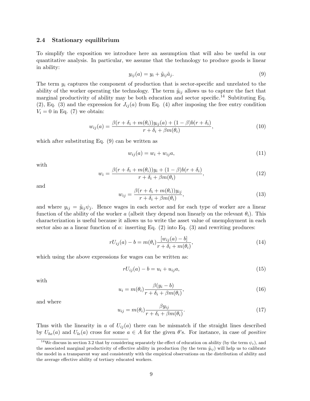#### 2.4 Stationary equilibrium

To simplify the exposition we introduce here an assumption that will also be useful in our quantitative analysis. In particular, we assume that the technology to produce goods is linear in ability:

$$
y_{ij}(a) = y_i + \tilde{y}_{ij}\tilde{a}_j.
$$
\n<sup>(9)</sup>

The term  $y_i$  captures the component of production that is sector-specific and unrelated to the ability of the worker operating the technology. The term  $\tilde{y}_{ij}$  allows us to capture the fact that marginal productivity of ability may be both education and sector specific.<sup>14</sup> Subtituting Eq. (2), Eq. (3) and the expression for  $J_{ij}(a)$  from Eq. (4) after imposing the free entry condition  $V_i = 0$  in Eq. (7) we obtain:

$$
w_{ij}(a) = \frac{\beta(r + \delta_i + m(\theta_i))y_{ij}(a) + (1 - \beta)b(r + \delta_i)}{r + \delta_i + \beta m(\theta_i)},
$$
\n(10)

which after substituting Eq. (9) can be written as

$$
w_{ij}(a) = w_i + w_{ij}a,\tag{11}
$$

with

$$
w_i = \frac{\beta(r + \delta_i + m(\theta_i))y_i + (1 - \beta)b(r + \delta_i)}{r + \delta_i + \beta m(\theta_i)},
$$
\n(12)

and

$$
w_{ij} = \frac{\beta(r + \delta_i + m(\theta_i))y_{ij}}{r + \delta_i + \beta m(\theta_i)},
$$
\n(13)

and where  $y_{ij} = \tilde{y}_{ij} \psi_j$ . Hence wages in each sector and for each type of worker are a linear function of the ability of the worker a (albeit they depend non linearly on the relevant  $\theta_i$ ). This characterization is useful because it allows us to write the asset value of unemployment in each sector also as a linear function of  $a$ : inserting Eq. (2) into Eq. (3) and rewriting produces:

$$
rU_{ij}(a) - b = m(\theta_i) \frac{[w_{ij}(a) - b]}{r + \delta_i + m(\theta_i)},
$$
\n(14)

which using the above expressions for wages can be written as:

$$
rU_{ij}(a) - b = u_i + u_{ij}a,\tag{15}
$$

with

$$
u_i = m(\theta_i) \frac{\beta(y_i - b)}{r + \delta_i + \beta m(\theta_i)},
$$
\n(16)

and where

$$
u_{ij} = m(\theta_i) \frac{\beta y_{ij}}{r + \delta_i + \beta m(\theta_i)}.
$$
\n(17)

Thus with the linearity in a of  $U_{ij}(a)$  there can be mismatch if the straight lines described by  $U_{he}(a)$  and  $U_{le}(a)$  cross for some  $a \in A$  for the given  $\theta$ 's. For instance, in case of positive

<sup>&</sup>lt;sup>14</sup>We discuss in section 3.2 that by considering separately the effect of education on ability (by the term  $\psi_e$ ), and the associated marginal productivity of effective ability in production (by the term  $\tilde{y}_{ij}$ ) will help us to calibrate the model in a transparent way and consistently with the empirical observations on the distribution of ability and the average effective ability of tertiary educated workers.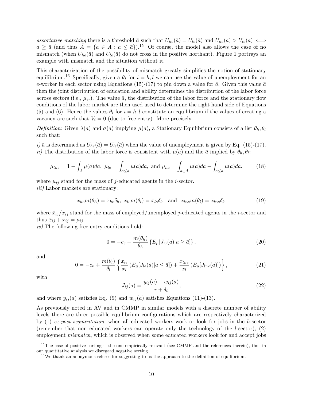assortative matching there is a threshold  $\bar{a}$  such that  $U_{he}(\bar{a}) = U_{le}(\bar{a})$  and  $U_{he}(a) > U_{le}(a) \iff$  $a \geq \bar{a}$  (and thus  $\tilde{A} = \{a \in A : a \leq \bar{a}\}\.^{15}$  Of course, the model also allows the case of no mismatch (when  $U_{he}(\bar{a})$  and  $U_{le}(\bar{a})$  do not cross in the positive horthant). Figure 1 portrays an example with mismatch and the situation without it.

This characterization of the possibility of mismatch greatly simplifies the notion of stationary equilibrium.<sup>16</sup> Specifically, given a  $\theta_i$  for  $i = h, l$  we can use the value of unemployment for an e-worker in each sector using Equations (15)-(17) to pin down a value for  $\bar{a}$ . Given this value  $\bar{a}$ then the joint distribution of education and ability determines the distribution of the labor force across sectors (i.e.,  $\mu_{ij}$ ). The value  $\bar{a}$ , the distribution of the labor force and the stationary flow conditions of the labor market are then used used to determine the right hand side of Equations (5) and (6). Hence the values  $\theta_i$  for  $i = h, l$  constitute an equilibrium if the values of creating a vacancy are such that  $V_i = 0$  (due to free entry). More precisely,

Definition: Given  $\lambda(a)$  and  $\sigma(a)$  implying  $\mu(a)$ , a Stationary Equilibrium consists of a list  $\theta_h, \theta_l$ such that:

i)  $\bar{a}$  is determined as  $U_{he}(\bar{a}) = U_{le}(\bar{a})$  when the value of unemployment is given by Eq. (15)-(17). *ii*) The distribution of the labor force is consistent with  $\mu(a)$  and the  $\bar{a}$  implied by  $\theta_h$ ,  $\theta_l$ :

$$
\mu_{lne} = 1 - \int_A \mu(a)da, \ \mu_{le} = \int_{a \le \bar{a}} \mu(a)da, \ \text{and} \ \mu_{he} = \int_{a \in A} \mu(a)da - \int_{a \le \bar{a}} \mu(a)da. \tag{18}
$$

where  $\mu_{ij}$  stand for the mass of j-educated agents in the *i*-sector. iii) Labor markets are stationary:

$$
x_{he}m(\theta_h) = \bar{x}_{he}\delta_h, \ x_{le}m(\theta_l) = \bar{x}_{le}\delta_l, \ \text{and} \ x_{lne}m(\theta_l) = \bar{x}_{lne}\delta_l,
$$
\n(19)

where  $\bar{x}_{ij}/x_{ij}$  stand for the mass of employed/unemployed j-educated agents in the *i*-sector and thus  $\bar{x}_{ij} + x_{ij} = \mu_{ij}$ .

iv) The following free entry conditions hold:

$$
0 = -c_v + \frac{m(\theta_h)}{\theta_h} \{ E_\mu[J_{ij}(a) | a \ge \bar{a}] \},
$$
\n(20)

and

$$
0 = -c_v + \frac{m(\theta_l)}{\theta_l} \left\{ \frac{x_{le}}{x_l} \left( E_\mu[J_{le}(a) | a \le \bar{a}] \right) + \frac{x_{lne}}{x_l} \left( E_\mu[J_{lne}(a)] \right) \right\},\tag{21}
$$

with

$$
J_{ij}(a) = \frac{y_{ij}(a) - w_{ij}(a)}{r + \delta_i},\tag{22}
$$

and where  $y_{ij}(a)$  satisfies Eq. (9) and  $w_{ij}(a)$  satisfies Equations (11)-(13).

As previously noted in AV and in CMMP in similar models with a discrete number of ability levels there are three possible equilibrium configurations which are respectively characterized by (1) ex-post segmentation, when all educated workers work or look for jobs in the h-sector (remember that non educated workers can operate only the technology of the l-sector), (2) employment mismatch, which is observed when some educated workers look for and accept jobs

<sup>&</sup>lt;sup>15</sup>The case of positive sorting is the one empirically relevant (see CMMP and the references therein), thus in our quantitative analysis we disregard negative sorting.

 $16\,\text{We thank an anonymous referee for suggesting to us the approach to the definition of equilibrium.}$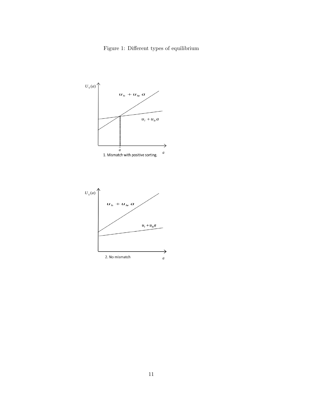Figure 1: Different types of equilibrium

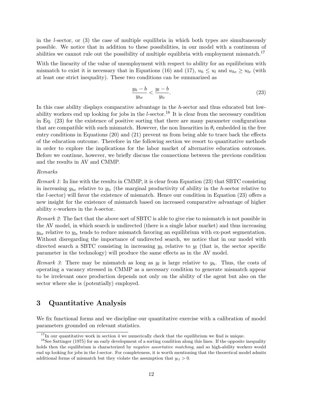in the *l*-sector, or  $(3)$  the case of multiple equilibria in which both types are simultaneously possible. We notice that in addition to these possibilities, in our model with a continuum of abilities we cannot rule out the possibility of multiple equilibria with employment mismatch.<sup>17</sup>

With the linearity of the value of unemployment with respect to ability for an equilibrium with mismatch to exist it is necessary that in Equations (16) and (17),  $u_h \leq u_l$  and  $u_{he} \geq u_{le}$  (with at least one strict inequality). These two conditions can be summarized as

$$
\frac{y_h - b}{y_{he}} < \frac{y_l - b}{y_{le}}.\tag{23}
$$

In this case ability displays comparative advantage in the  $h$ -sector and thus educated but lowability workers end up looking for jobs in the  $l$ -sector.<sup>18</sup> It is clear from the necessary condition in Eq. (23) for the existence of positive sorting that there are many parameter configurations that are compatible with such mismatch. However, the non linearities in  $\theta_i$  embedded in the free entry conditions in Equations (20) and (21) prevent us from being able to trace back the effects of the education outcome. Therefore in the following section we resort to quantitative methods in order to explore the implications for the labor market of alternative education outcomes. Before we continue, however, we briefly discuss the connections between the previous condition and the results in AV and CMMP.

#### Remarks

Remark 1: In line with the results in CMMP, it is clear from Equation (23) that SBTC consisting in increasing  $y_{he}$  relative to  $y_{le}$  (the marginal productivity of ability in the h-sector relative to the l-sector) will favor the existence of mismatch. Hence our condition in Equation (23) offers a new insight for the existence of mismatch based on increased comparative advantage of higher ability e-workers in the h-sector.

Remark 2: The fact that the above sort of SBTC is able to give rise to mismatch is not possible in the AV model, in which search is undirected (there is a single labor market) and thus increasing  $y_{he}$  relative to  $y_{le}$  tends to reduce mismatch favoring an equilibrium with ex-post segmentation. Without disregarding the importance of undirected search, we notice that in our model with directed search a SBTC consisting in increasing  $y_h$  relative to  $y_l$  (that is, the sector specific parameter in the technology) will produce the same effects as in the AV model.

Remark 3: There may be mismatch as long as  $y_l$  is large relative to  $y_h$ . Thus, the costs of operating a vacancy stressed in CMMP as a necessary condition to generate mismatch appear to be irrelevant once production depends not only on the ability of the agent but also on the sector where she is (potentially) employed.

# 3 Quantitative Analysis

We fix functional forms and we discipline our quantitative exercise with a calibration of model parameters grounded on relevant statistics.

 $17$ In our quantitative work in section 4 we numerically check that the equilibrium we find is unique.

<sup>&</sup>lt;sup>18</sup>See Sattinger (1975) for an early development of a sorting condition along this lines. If the opposite inequality holds then the equilibrium is characterized by *negative assortative matching*, and so high-ability workers would end up looking for jobs in the l-sector. For completeness, it is worth mentioning that the theoretical model admits additional forms of mismatch but they violate the assumption that  $y_{ii} > 0$ .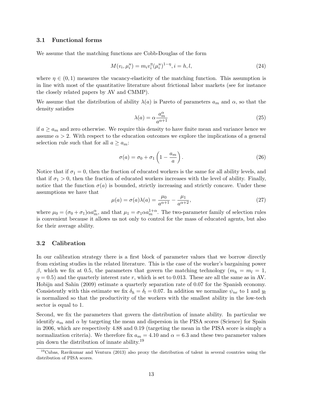#### 3.1 Functional forms

We assume that the matching functions are Cobb-Douglas of the form

$$
M(v_i, \mu_i^u) = m_i v_i^{\eta} (\mu_i^u)^{1-\eta}, i = h, l,
$$
\n(24)

where  $\eta \in (0,1)$  measures the vacancy-elasticity of the matching function. This assumption is in line with most of the quantitative literature about frictional labor markets (see for instance the closely related papers by AV and CMMP).

We assume that the distribution of ability  $\lambda(a)$  is Pareto of parameters  $a_m$  and  $\alpha$ , so that the density satisfies

$$
\lambda(a) = \alpha \frac{a_m^{\alpha}}{a^{\alpha+1}} \tag{25}
$$

if  $a \ge a_m$  and zero otherwise. We require this density to have finite mean and variance hence we assume  $\alpha > 2$ . With respect to the education outcomes we explore the implications of a general selection rule such that for all  $a \ge a_m$ :

$$
\sigma(a) = \sigma_0 + \sigma_1 \left( 1 - \frac{a_m}{a} \right). \tag{26}
$$

Notice that if  $\sigma_1 = 0$ , then the fraction of educated workers is the same for all ability levels, and that if  $\sigma_1 > 0$ , then the fraction of educated workers increases with the level of ability. Finally, notice that the function  $\sigma(a)$  is bounded, strictly increasing and strictly concave. Under these assumptions we have that

$$
\mu(a) = \sigma(a)\lambda(a) = \frac{\mu_0}{a^{\alpha+1}} - \frac{\mu_1}{a^{\alpha+2}},
$$
\n(27)

where  $\mu_0 = (\sigma_0 + \sigma_1)\alpha a_m^{\alpha}$ , and that  $\mu_1 = \sigma_1\alpha a_m^{1+\alpha}$ . The two-parameter family of selection rules is convenient because it allows us not only to control for the mass of educated agents, but also for their average ability.

#### 3.2 Calibration

In our calibration strategy there is a first block of parameter values that we borrow directly from existing studies in the related literature. This is the case of the worker's bargaining power β, which we fix at 0.5, the parameters that govern the matching technology  $(m_h = m_l = 1,$  $\eta = 0.5$ ) and the quarterly interest rate r, which is set to 0.013. These are all the same as in AV. Hobijn and Sahin (2009) estimate a quarterly separation rate of 0.07 for the Spanish economy. Consistently with this estimate we fix  $\delta_h = \delta_l = 0.07$ . In addition we normalize  $\psi_{ne}$  to 1 and  $y_l$ is normalized so that the productivity of the workers with the smallest ability in the low-tech sector is equal to 1.

Second, we fix the parameters that govern the distribution of innate ability. In particular we identify  $a_m$  and  $\alpha$  by targeting the mean and dispersion in the PISA scores (Science) for Spain in 2006, which are respectively 4.88 and 0.19 (targeting the mean in the PISA score is simply a normalization criteria). We therefore fix  $a_m = 4.10$  and  $\alpha = 6.3$  and these two parameter values pin down the distribution of innate ability.<sup>19</sup>

<sup>19</sup>Cubas, Ravikumar and Ventura (2013) also proxy the distribution of talent in several countries using the distribution of PISA scores.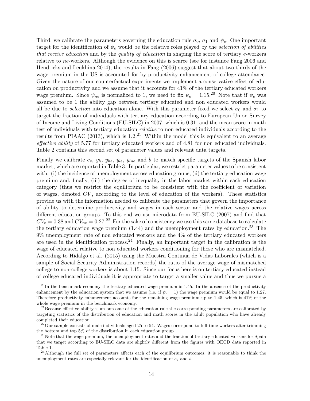Third, we calibrate the parameters governing the education rule  $\sigma_0$ ,  $\sigma_1$  and  $\psi_e$ . One important target for the identification of  $\psi_e$  would be the relative roles played by the selection of abilities that receive education and by the quality of education in shaping the score of tertiary e-workers relative to ne-workers. Although the evidence on this is scarce (see for instance Fang 2006 and Hendricks and Leukhina 2014), the results in Fang (2006) suggest that about two thirds of the wage premium in the US is accounted for by productivity enhancement of college attendance. Given the nature of our counterfactual experiments we implement a conservative effect of education on productivity and we assume that it accounts for 41% of the tertiary educated workers wage premium. Since  $\psi_{ne}$  is normalized to 1, we need to fix  $\psi_e = 1.15^{20}$  Note that if  $\psi_e$  was assumed to be 1 the ability gap between tertiary educated and non educated workers would all be due to *selection* into education alone. With this parameter fixed we select  $\sigma_0$  and  $\sigma_1$  to target the fraction of individuals with tertiary education according to European Union Survey of Income and Living Conditions (EU-SILC) in 2007, which is 0.31, and the mean score in math test of individuals with tertiary education relative to non educated individuals according to the results from PIAAC (2013), which is  $1.2<sup>21</sup>$  Within the model this is equivalent to an average effective ability of 5.77 for tertiary educated workers and of 4.81 for non educated individuals. Table 2 contains this second set of parameter values and relevant data targets.

Finally we calibrate  $c_v$ ,  $y_h$ ,  $\tilde{y}_{he}$ ,  $\tilde{y}_{le}$ ,  $\tilde{y}_{lne}$  and b to match specific targets of the Spanish labor market, which are reported in Table 3. In particular, we restrict parameter values to be consistent with: (i) the incidence of unemployment across education groups, (ii) the tertiary education wage premium and, finally, (iii) the degree of inequality in the labor market within each education category (thus we restrict the equilibrium to be consistent with the coefficient of variation of wages, denoted  $CV$ , according to the level of education of the workers). These statistics provide us with the information needed to calibrate the parameters that govern the importance of ability to determine productivity and wages in each sector and the relative wages across different education groups. To this end we use microdata from EU-SILC (2007) and find that  $CV_e = 0.38$  and  $CV_{ne} = 0.27$ .<sup>22</sup> For the sake of consistency we use this same database to calculate the tertiary education wage premium  $(1.44)$  and the unemployment rates by education.<sup>23</sup> The  $9\%$  unemployment rate of non educated workers and the  $4\%$  of the tertiary educated workers are used in the identification process.<sup>24</sup> Finally, an important target in the calibration is the wage of educated relative to non educated workers conditioning for those who are mismatched. According to Hidalgo et al. (2015) using the Muestra Continua de Vidas Laborales (which is a sample of Social Security Administration records) the ratio of the average wage of mismatched college to non-college workers is about 1.15. Since our focus here is on tertiary educated instead of college educated individuals it is appropriate to target a smaller value and thus we pursue a

 $^{20}$ In the benchmark economy the tertiary educated wage premium is 1.45. In the absence of the productivity enhancement by the education system that we assume (i.e. if  $\psi_e = 1$ ) the wage premium would be equal to 1.27. Therefore productivity enhancement accounts for the remaining wage premium up to 1.45, which is 41% of the whole wage premium in the benchmark economy.

<sup>&</sup>lt;sup>21</sup> Because effective ability is an outcome of the education rule the corresponding parameters are calibrated by targeting statistics of the distribution of education and math scores in the adult population who have already completed their education.

 $^{22}$ Our sample consists of male individuals aged 25 to 54. Wages correspond to full-time workers after trimming the bottom and top 5% of the distribution in each education group.

<sup>&</sup>lt;sup>23</sup>Note that the wage premium, the unemployment rates and the fraction of tertiary educated workers for Spain that we target according to EU-SILC data are slightly different from the figures with OECD data reported in Table 1.

<sup>&</sup>lt;sup>24</sup>Although the full set of parameters affects each of the equilibrium outcomes, it is reasonable to think the unemployment rates are especially relevant for the identification of  $c_v$  and b.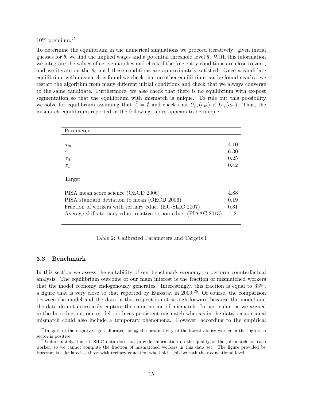$10\%$  premium.<sup>25</sup>

To determine the equilibrium in the numerical simulations we proceed iteratively: given initial guesses for  $\theta_i$  we find the implied wages and a potential threshold level  $\bar{a}$ . With this information we integrate the values of active matches and check if the free entry conditions are close to zero, and we iterate on the  $\theta_i$  until these conditions are approximately satisfied. Once a candidate equilibrium with mismatch is found we check that no other equilibrium can be found nearby: we restart the algorithm from many different initial conditions and check that we always converge to the same candidate. Furthermore, we also check that there is no equilibrium with ex-post segmentation so that the equilibrium with mismatch is unique. To rule out this possibility we solve for equilibrium assuming that  $\tilde{A} = \emptyset$  and check that  $U_{he}(a_m) < U_{le}(a_m)$ . Thus, the mismatch equilibrium reported in the following tables appears to be unique.

| Parameter                                                        |      |
|------------------------------------------------------------------|------|
|                                                                  |      |
| $a_m$                                                            | 4.10 |
| $\alpha$                                                         | 6.30 |
| $\sigma_0$                                                       | 0.25 |
| $\sigma_1$                                                       | 0.42 |
|                                                                  |      |
| Target                                                           |      |
|                                                                  |      |
| PISA mean score science (OECD 2006)                              | 4.88 |
| PISA standard deviation to mean (OECD 2006)                      | 0.19 |
| Fraction of workers with tertiary educ. (EU-SLIC 2007)           | 0.31 |
| Average skills tertiary educ. relative to non educ. (PIAAC 2013) | 1.2  |

Table 2: Calibrated Parameters and Targets I

#### 3.3 Benchmark

In this section we assess the suitability of our benchmark economy to perform counterfactual analysis. The equilibrium outcome of our main interest is the fraction of mismatched workers that the model economy endogenously generates. Interestingly, this fraction is equal to 33%, a figure that is very close to that reported by Eurostat in  $2009$ .<sup>26</sup> Of course, the comparison between the model and the data in this respect is not straightforward because the model and the data do not necessarily capture the same notion of mismatch. In particular, as we argued in the Introduction, our model produces persistent mismatch whereas in the data occupational mismatch could also include a temporary phenomena. However, according to the empirical

<sup>&</sup>lt;sup>25</sup>In spite of the negative sign calibrated for  $y<sub>h</sub>$  the productivity of the lowest ability worker in the high-tech sector is positive.

 $^{26}$ Unfortunately, the EU-SILC data does not provide information on the quality of the job match for each worker, so we cannot compute the fraction of mismatched workers in this data set. The figure provided by Eurostat is calculated as those with tertiary education who hold a job beneath their educational level.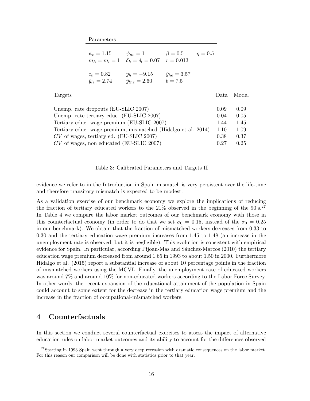|         | Parameters                                                                        |                                                                                                                                                                                                        |                         |                                              |                                              |
|---------|-----------------------------------------------------------------------------------|--------------------------------------------------------------------------------------------------------------------------------------------------------------------------------------------------------|-------------------------|----------------------------------------------|----------------------------------------------|
|         |                                                                                   | $\psi_e = 1.15$ $\psi_{ne} = 1$ $\beta = 0.5$ $\eta = 0.5$<br>$m_h = m_l = 1$ $\delta_h = \delta_l = 0.07$ $r = 0.013$                                                                                 |                         |                                              |                                              |
|         | $c_v = 0.82$<br>$\tilde{y}_{le} = 2.74$                                           | $y_h = -9.15$<br>$\tilde{y}_{lne} = 2.60$ $b = 7.5$                                                                                                                                                    | $\tilde{y}_{he} = 3.57$ |                                              |                                              |
| Targets |                                                                                   |                                                                                                                                                                                                        |                         | Data                                         | Model                                        |
|         | Unemp. rate dropouts (EU-SLIC 2007)<br>$CV$ of wages, tertiary ed. (EU-SLIC 2007) | Unemp. rate tertiary educ. (EU-SLIC 2007)<br>Tertiary educ. wage premium (EU-SLIC 2007)<br>Tertiary educ. wage premium, mismatched (Hidalgo et al. 2014)<br>$CV$ of wages, non educated (EU-SLIC 2007) |                         | 0.09<br>0.04<br>1.44<br>1.10<br>0.38<br>0.27 | 0.09<br>0.05<br>1.45<br>1.09<br>0.37<br>0.25 |

Table 3: Calibrated Parameters and Targets II

evidence we refer to in the Introduction in Spain mismatch is very persistent over the life-time and therefore transitory mismatch is expected to be modest.

As a validation exercise of our benchmark economy we explore the implications of reducing the fraction of tertiary educated workers to the  $21\%$  observed in the beginning of the 90's.<sup>27</sup> In Table 4 we compare the labor market outcomes of our benchmark economy with those in this counterfactual economy (in order to do that we set  $\sigma_0 = 0.15$ , instead of the  $\sigma_0 = 0.25$ in our benchmark). We obtain that the fraction of mismatched workers decreases from 0.33 to 0.30 and the tertiary education wage premium increases from 1.45 to 1.48 (an increase in the unemployment rate is observed, but it is negligible). This evolution is consistent with empirical evidence for Spain. In particular, according Pijoan-Mas and Sánchez-Marcos (2010) the tertiary education wage premium decreased from around 1.65 in 1993 to about 1.50 in 2000. Furthermore Hidalgo et al. (2015) report a substantial increase of about 10 percentage points in the fraction of mismatched workers using the MCVL. Finally, the unemployment rate of educated workers was around 7% and around 10% for non-educated workers according to the Labor Force Survey. In other words, the recent expansion of the educational attainment of the population in Spain could account to some extent for the decrease in the tertiary education wage premium and the increase in the fraction of occupational-mismatched workers.

# 4 Counterfactuals

In this section we conduct several counterfactual exercises to assess the impact of alternative education rules on labor market outcomes and its ability to account for the differences observed

<sup>&</sup>lt;sup>27</sup>Starting in 1993 Spain went through a very deep recession with dramatic consequences on the labor market. For this reason our comparison will be done with statistics prior to that year.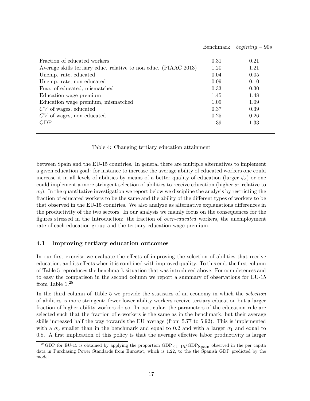| Benchmark | begining $-90s$ |
|-----------|-----------------|
|           |                 |
| 0.31      | 0.21            |
| 1.20      | 1.21            |
| 0.04      | 0.05            |
| 0.09      | 0.10            |
| 0.33      | 0.30            |
| 1.45      | 1.48            |
| 1.09      | 1.09            |
| 0.37      | 0.39            |
| 0.25      | 0.26            |
| 1.39      | 1.33            |
|           |                 |

Table 4: Changing tertiary education attainment

between Spain and the EU-15 countries. In general there are multiple alternatives to implement a given education goal: for instance to increase the average ability of educated workers one could increase it in all levels of abilities by means of a better quality of education (larger  $\psi_e$ ) or one could implement a more stringent selection of abilities to receive education (higher  $\sigma_1$  relative to  $\sigma_0$ ). In the quantitative investigation we report below we discipline the analysis by restricting the fraction of educated workers to be the same and the ability of the different types of workers to be that observed in the EU-15 countries. We also analyze as alternative explanations differences in the productivity of the two sectors. In our analysis we mainly focus on the consequences for the figures stressed in the Introduction: the fraction of over-educated workers, the unemployment rate of each education group and the tertiary education wage premium.

### 4.1 Improving tertiary education outcomes

In our first exercise we evaluate the effects of improving the selection of abilities that receive education, and its effects when it is combined with improved quality. To this end, the first column of Table 5 reproduces the benchmark situation that was introduced above. For completeness and to easy the comparison in the second column we report a summary of observations for EU-15 from Table 1.<sup>28</sup>

In the third column of Table 5 we provide the statistics of an economy in which the *selection* of abilities is more stringent: fewer lower ability workers receive tertiary education but a larger fraction of higher ability workers do so. In particular, the parameters of the education rule are selected such that the fraction of e-workers is the same as in the benchmark, but their average skills increased half the way towards the EU average (from 5.77 to 5.92). This is implemented with a  $\sigma_0$  smaller than in the benchmark and equal to 0.2 and with a larger  $\sigma_1$  and equal to 0.8. A first implication of this policy is that the average effective labor productivity is larger

<sup>&</sup>lt;sup>28</sup>GDP for EU-15 is obtained by applying the proportion  $GDP_{EU-15}/GDP_{Spain}$  observed in the per capita data in Purchasing Power Standards from Eurostat, which is 1.22, to the the Spanish GDP predicted by the model.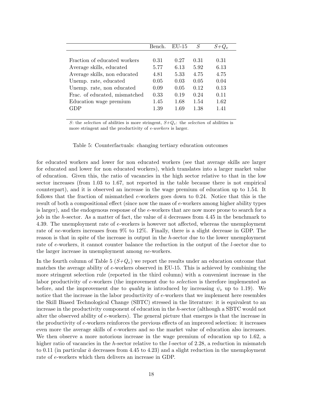|                               | Bench. | $EU-15$ | S    |      |
|-------------------------------|--------|---------|------|------|
|                               |        |         |      |      |
| Fraction of educated workers  | 0.31   | 0.27    | 0.31 | 0.31 |
| Average skills, educated      | 5.77   | 6.13    | 5.92 | 6.13 |
| Average skills, non educated  | 4.81   | 5.33    | 4.75 | 4.75 |
| Unemp. rate, educated         | 0.05   | 0.03    | 0.05 | 0.04 |
| Unemp. rate, non educated     | 0.09   | 0.05    | 0.12 | 0.13 |
| Frac. of educated, mismatched | 0.33   | 0.19    | 0.24 | 0.11 |
| Education wage premium        | 1.45   | 1.68    | 1.54 | 1.62 |
| GDP                           | 1.39   | 1.69    | 1.38 | 141  |
|                               |        |         |      |      |

S: the selection of abilities is more stringent,  $S+Q_e$ : the selection of abilities is more stringent and the productivity of *e-workers* is larger.

#### Table 5: Counterfactuals: changing tertiary education outcomes

for educated workers and lower for non educated workers (see that average skills are larger for educated and lower for non educated workers), which translates into a larger market value of education. Given this, the ratio of vacancies in the high sector relative to that in the low sector increases (from 1.03 to 1.67, not reported in the table because there is not empirical counterpart), and it is observed an increase in the wage premium of education up to 1.54. It follows that the fraction of mismatched e-workers goes down to 0.24. Notice that this is the result of both a compositional effect (since now the mass of  $e$ -workers among higher ability types is larger), and the endogenous response of the e-workers that are now more prone to search for a job in the h-sector. As a matter of fact, the value of  $\bar{a}$  decreases from 4.45 in the benchmark to 4.39. The unemployment rate of e-workers is however not affected, whereas the unemployment rate of ne-workers increases from 9% to 12%. Finally, there is a slight decrease in GDP. The reason is that in spite of the increase in output in the h-sector due to the lower unemployment rate of e-workers, it cannot counter balance the reduction in the output of the l-sector due to the larger increase in unemployment among ne-workers.

In the fourth column of Table 5  $(S+Q_e)$  we report the results under an education outcome that matches the average ability of e-workers observed in EU-15. This is achieved by combining the more stringent selection rule (reported in the third column) with a convenient increase in the labor productivity of e-workers (the improvement due to *selection* is therefore implemented as before, and the improvement due to *quality* is introduced by increasing  $\psi_e$  up to 1.19). We notice that the increase in the labor productivity of e-workers that we implement here resembles the Skill Biased Technological Change (SBTC) stressed in the literature: it is equivalent to an increase in the productivity component of education in the h-sector (although a SBTC would not alter the observed ability of e-workers). The general picture that emerges is that the increase in the productivity of e-workers reinforces the previous effects of an improved selection: it increases even more the average skills of e-workers and so the market value of education also increases. We then observe a more notorious increase in the wage premium of education up to 1.62, a higher ratio of vacancies in the h-sector relative to the l-sector of 2.28, a reduction in mismatch to 0.11 (in particular  $\bar{a}$  decreases from 4.45 to 4.23) and a slight reduction in the unemployment rate of e-workers which then delivers an increase in GDP.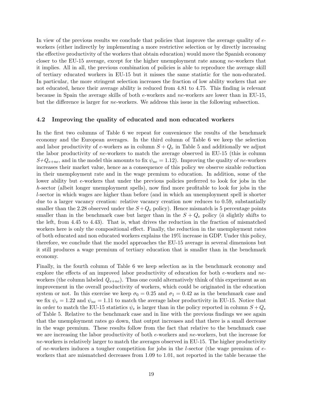In view of the previous results we conclude that policies that improve the average quality of  $e$ workers (either indirectly by implementing a more restrictive selection or by directly increasing the effective productivity of the workers that obtain education) would move the Spanish economy closer to the EU-15 average, except for the higher unemployment rate among ne-workers that it implies. All in all, the previous combination of policies is able to reproduce the average skill of tertiary educated workers in EU-15 but it misses the same statistic for the non-educated. In particular, the more stringent selection increases the fraction of low ability workers that are not educated, hence their average ability is reduced from 4.81 to 4.75. This finding is relevant because in Spain the average skills of both e-workers and ne-workers are lower than in EU-15, but the difference is larger for ne-workers. We address this issue in the following subsection.

#### 4.2 Improving the quality of educated and non educated workers

In the first two columns of Table 6 we repeat for convenience the results of the benchmark economy and the European averages. In the third column of Table 6 we keep the selection and labor productivity of e-workers as in column  $S + Q_e$  in Table 5 and additionally we adjust the labor productivity of ne-workers to match the average observed in EU-15 (this is column  $S+Q_{e+ne}$ , and in the model this amounts to fix  $\psi_{ne} = 1.12$ ). Improving the quality of ne-workers increases their market value, hence as a consequence of this policy we observe sizable reduction in their unemployment rate and in the wage premium to education. In addition, some of the lower ability but  $e$ -workers that under the previous policies preferred to look for jobs in the h-sector (albeit longer unemployment spells), now find more profitable to look for jobs in the l-sector in which wages are higher than before (and in which an unemployment spell is shorter due to a larger vacancy creation: relative vacancy creation now reduces to 0.59, substantially smaller than the 2.28 observed under the  $S + Q_e$  policy). Hence mismatch is 5 percentage points smaller than in the benchmark case but larger than in the  $S + Q_e$  policy ( $\bar{a}$  slightly shifts to the left, from 4.45 to 4.43). That is, what drives the reduction in the fraction of mismatched workers here is only the compositional effect. Finally, the reduction in the unemployment rates of both educated and non educated workers explains the 19% increase in GDP. Under this policy, therefore, we conclude that the model approaches the EU-15 average in several dimensions but it still produces a wage premium of tertiary education that is smaller than in the benchmark economy.

Finally, in the fourth column of Table 6 we keep selection as in the benchmark economy and explore the effects of an improved labor productivity of education for both e-workers and neworkers (the column labeled  $Q_{e+ne}$ ). Thus one could alternatively think of this experiment as an improvement in the overall productivity of workers, which could be originated in the education system or not. In this exercise we keep  $\sigma_0 = 0.25$  and  $\sigma_1 = 0.42$  as in the benchmark case and we fix  $\psi_e = 1.22$  and  $\psi_{ne} = 1.11$  to match the average labor productivity in EU-15. Notice that in order to match the EU-15 statistics  $\psi_e$  is larger than in the policy reported in column  $S + Q_e$ of Table 5. Relative to the benchmark case and in line with the previous findings we see again that the unemployment rates go down, that output increases and that there is a small decrease in the wage premium. These results follow from the fact that relative to the benchmark case we are increasing the labor productivity of both e-workers and ne-workers, but the increase for  $ne$ -workers is relatively larger to match the averages observed in EU-15. The higher productivity of ne-workers induces a tougher competition for jobs in the l-sector (the wage premium of  $e$ workers that are mismatched decreases from 1.09 to 1.01, not reported in the table because the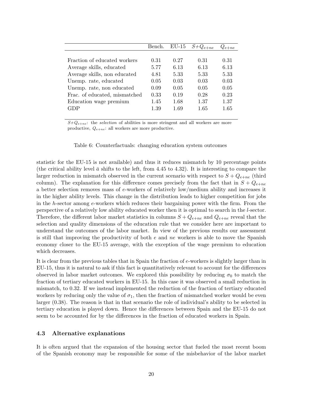|                               | Bench. | EU-15 | $S+Q_{e+ne}$ |      |
|-------------------------------|--------|-------|--------------|------|
|                               |        |       |              |      |
| Fraction of educated workers  | 0.31   | 0.27  | 0.31         | 0.31 |
| Average skills, educated      | 5.77   | 6.13  | 6.13         | 6.13 |
| Average skills, non educated  | 4.81   | 5.33  | 5.33         | 5.33 |
| Unemp. rate, educated         | 0.05   | 0.03  | 0.03         | 0.03 |
| Unemp. rate, non educated     | 0.09   | 0.05  | 0.05         | 0.05 |
| Frac. of educated, mismatched | 0.33   | 0.19  | 0.28         | 0.23 |
| Education wage premium        | 1.45   | 1.68  | 1.37         | 1.37 |
| GDP                           | 1.39   | 1.69  | 1.65         | 1.65 |
|                               |        |       |              |      |

 $S+Q_{e+ne}$ : the selection of abilities is more stringent and all workers are more productive,  $Q_{e+ne}$ : all workers are more productive.

Table 6: Counterfactuals: changing education system outcomes

statistic for the EU-15 is not available) and thus it reduces mismatch by 10 percentage points (the critical ability level  $\bar{a}$  shifts to the left, from 4.45 to 4.32). It is interesting to compare the larger reduction in mismatch observed in the current scenario with respect to  $S + Q_{e+ne}$  (third column). The explanation for this difference comes precisely from the fact that in  $S + Q_{e+ne}$ a better selection removes mass of e-workers of relatively low/medium ability and increases it in the higher ability levels. This change in the distribution leads to higher competition for jobs in the  $h$ -sector among e-workers which reduces their bargaining power with the firm. From the perspective of a relatively low ability educated worker then it is optimal to search in the l-sector. Therefore, the different labor market statistics in columns  $S + Q_{e+ne}$  and  $Q_{e+ne}$  reveal that the selection and quality dimensions of the education rule that we consider here are important to understand the outcomes of the labor market. In view of the previous results our assessment is still that improving the productivity of both  $e$  and  $ne$  workers is able to move the Spanish economy closer to the EU-15 average, with the exception of the wage premium to education which decreases.

It is clear from the previous tables that in Spain the fraction of e-workers is slightly larger than in EU-15, thus it is natural to ask if this fact is quantitatively relevant to account for the differences observed in labor market outcomes. We explored this possibility by reducing  $\sigma_0$  to match the fraction of tertiary educated workers in EU-15. In this case it was observed a small reduction in mismatch, to 0.32. If we instead implemented the reduction of the fraction of tertiary educated workers by reducing only the value of  $\sigma_1$ , then the fraction of mismatched worker would be even larger (0.38). The reason is that in that scenario the role of individual's ability to be selected in tertiary education is played down. Hence the differences between Spain and the EU-15 do not seem to be accounted for by the differences in the fraction of educated workers in Spain.

#### 4.3 Alternative explanations

It is often argued that the expansion of the housing sector that fueled the most recent boom of the Spanish economy may be responsible for some of the misbehavior of the labor market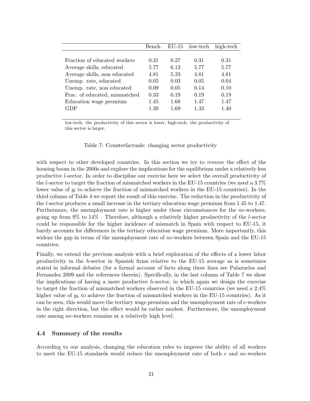|                               | Bench. | EU-15 | low-tech | high-tech |
|-------------------------------|--------|-------|----------|-----------|
|                               |        |       |          |           |
| Fraction of educated workers  | 0.31   | 0.27  | 0.31     | 0.31      |
| Average skills, educated      | 5.77   | 6.13  | 5.77     | 5.77      |
| Average skills, non educated  | 4.81   | 5.33  | 4.81     | 4.81      |
| Unemp. rate, educated         | 0.05   | 0.03  | 0.05     | 0.04      |
| Unemp. rate, non educated     | 0.09   | 0.05  | 0.14     | 0.10      |
| Frac. of educated, mismatched | 0.33   | 0.19  | 0.19     | 0.19      |
| Education wage premium        | 1.45   | 1.68  | 1.47     | 1.47      |
| GDP                           | 1.39   | 1.69  | 1.33     | 1.40      |
|                               |        |       |          |           |

low-tech: the productivity of this sector is lower, high-tech: the productivity of this sector is larger.

#### Table 7: Counterfactuals: changing sector productivity

with respect to other developed countries. In this section we try to *remove* the effect of the housing boom in the 2000s and explore the implications for the equilibrium under a relatively less productive l-sector. In order to discipline our exercise here we select the overall productivity of the l-sector to target the fraction of mismatched workers in the EU-15 countries (we need a 3.7% lower value of  $y_l$  to achieve the fraction of mismatched workers in the EU-15 countries). In the third column of Table 4 we report the result of this exercise. The reduction in the productivity of the l-sector produces a small increase in the tertiary education wage premium from 1.45 to 1.47. Furthermore, the unemployment rate is higher under these circumstances for the *ne*-workers, going up from 9% to 14% . Therefore, although a relatively higher productivity of the l-sector could be responsible for the higher incidence of mismatch in Spain with respect to EU-15, it barely accounts for differences in the tertiary education wage premium. More importantly, this widens the gap in terms of the unemployment rate of ne-workers between Spain and the  $EU-15$ countries.

Finally, we extend the previous analysis with a brief exploration of the effects of a lower labor productivity in the h-sector in Spanish firms relative to the EU-15 average as is sometimes stated in informal debates (for a formal account of facts along these lines see Palazuelos and Fernandez 2009 and the references therein). Specifically, in the last column of Table 7 we show the implications of having a more productive h-sector, in which again we design the exercise to target the fraction of mismatched workers observed in the EU-15 countries (we need a 2.4% higher value of  $y_h$  to achieve the fraction of mismatched workers in the EU-15 countries). As it can be seen, this would move the tertiary wage premium and the unemployment rate of e-workers in the right direction, but the effect would be rather modest. Furthermore, the unemployment rate among ne-workers remains at a relatively high level.

#### 4.4 Summary of the results

According to our analysis, changing the education rules to improve the ability of all workers to meet the EU-15 standards would reduce the unemployment rate of both  $e$  and ne-workers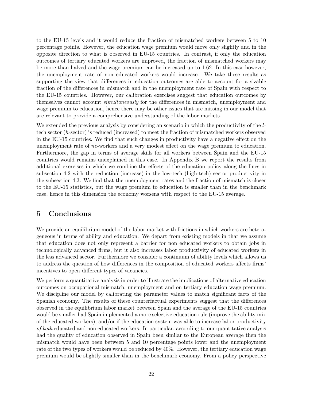to the EU-15 levels and it would reduce the fraction of mismatched workers between 5 to 10 percentage points. However, the education wage premium would move only slightly and in the opposite direction to what is observed in EU-15 countries. In contrast, if only the education outcomes of tertiary educated workers are improved, the fraction of mismatched workers may be more than halved and the wage premium can be increased up to 1.62. In this case however, the unemployment rate of non educated workers would increase. We take these results as supporting the view that differences in education outcomes are able to account for a sizable fraction of the differences in mismatch and in the unemployment rate of Spain with respect to the EU-15 countries. However, our calibration exercises suggest that education outcomes by themselves cannot account simultaneously for the differences in mismatch, unemployment and wage premium to education, hence there may be other issues that are missing in our model that are relevant to provide a comprehensive understanding of the labor markets.

We extended the previous analysis by considering an scenario in which the productivity of the  $l$ tech sector (h-sector) is reduced (increased) to meet the fraction of mismatched workers observed in the EU-15 countries. We find that such changes in productivity have a negative effect on the unemployment rate of ne-workers and a very modest effect on the wage premium to education. Furthermore, the gap in terms of average skills for all workers between Spain and the EU-15 countries would remains unexplained in this case. In Appendix B we report the results from additional exercises in which we combine the effects of the education policy along the lines in subsection 4.2 with the reduction (increase) in the low-tech (high-tech) sector productivity in the subsection 4.3. We find that the unemployment rates and the fraction of mismatch is closer to the EU-15 statistics, but the wage premium to education is smaller than in the benchmark case, hence in this dimension the economy worsens with respect to the EU-15 average.

# 5 Conclusions

We provide an equilibrium model of the labor market with frictions in which workers are heterogeneous in terms of ability and education. We depart from existing models in that we assume that education does not only represent a barrier for non educated workers to obtain jobs in technologically advanced firms, but it also increases labor productivity of educated workers in the less advanced sector. Furthermore we consider a continuum of ability levels which allows us to address the question of how differences in the composition of educated workers affects firms' incentives to open different types of vacancies.

We perform a quantitative analysis in order to illustrate the implications of alternative education outcomes on occupational mismatch, unemployment and on tertiary education wage premium. We discipline our model by calibrating the parameter values to match significant facts of the Spanish economy. The results of these counterfactual experiments suggest that the differences observed in the equilibrium labor market between Spain and the average of the EU-15 countries would be smaller had Spain implemented a more selective education rule (improve the ability mix of the educated workers), and/or if the education system was able to increase labor productivity of both educated and non educated workers. In particular, according to our quantitative analysis had the quality of education observed in Spain been similar to the European average then the mismatch would have been between 5 and 10 percentage points lower and the unemployment rate of the two types of workers would be reduced by 40%. However, the tertiary education wage premium would be slightly smaller than in the benchmark economy. From a policy perspective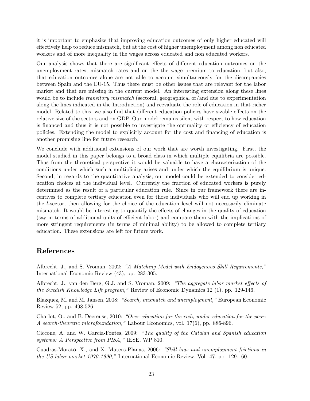it is important to emphasize that improving education outcomes of only higher educated will effectively help to reduce mismatch, but at the cost of higher unemployment among non educated workers and of more inequality in the wages across educated and non educated workers.

Our analysis shows that there are significant effects of different education outcomes on the unemployment rates, mismatch rates and on the the wage premium to education, but also, that education outcomes alone are not able to account simultaneously for the discrepancies between Spain and the EU-15. Thus there must be other issues that are relevant for the labor market and that are missing in the current model. An interesting extension along these lines would be to include *transitory mismatch* (sectoral, geographical or/and due to experimentation along the lines indicated in the Introduction) and reevaluate the role of education in that richer model. Related to this, we also find that different education policies have sizable effects on the relative size of the sectors and on GDP. Our model remains silent with respect to how education is financed and thus it is not possible to investigate the optimality or efficiency of education policies. Extending the model to explicitly account for the cost and financing of education is another promising line for future research.

We conclude with additional extensions of our work that are worth investigating. First, the model studied in this paper belongs to a broad class in which multiple equilibria are possible. Thus from the theoretical perspective it would be valuable to have a characterization of the conditions under which such a multiplicity arises and under which the equilibrium is unique. Second, in regards to the quantitative analysis, our model could be extended to consider education choices at the individual level. Currently the fraction of educated workers is purely determined as the result of a particular education rule. Since in our framework there are incentives to complete tertiary education even for those individuals who will end up working in the l-sector, then allowing for the choice of the education level will not necessarily eliminate mismatch. It would be interesting to quantify the effects of changes in the quality of education (say in terms of additional units of efficient labor) and compare them with the implications of more stringent requirements (in terms of minimal ability) to be allowed to complete tertiary education. These extensions are left for future work.

# References

Albrecht, J., and S. Vroman, 2002: "A Matching Model with Endogenous Skill Requirements," International Economic Review (43), pp. 283-305.

Albrecht, J., van den Berg, G.J. and S. Vroman, 2009: "The aggregate labor market effects of the Swedish Knowledge Lift program," Review of Economic Dynamics 12 (1), pp. 129-146.

Blazquez, M. and M. Jansen, 2008: "Search, mismatch and unemployment," European Economic Review 52, pp. 498-526.

Charlot, O., and B. Decreuse, 2010: "Over-education for the rich, under-education for the poor: A search-theoretic microfoundation," Labour Economics, vol. 17(6), pp. 886-896.

Ciccone, A. and W. Garcia-Fontes, 2009: "The quality of the Catalan and Spanish education systems: A Perspective from PISA," IESE, WP 810.

Cuadras-Morató, X., and X. Mateos-Planas, 2006: "Skill bias and unemployment frictions in the US labor market 1970-1990," International Economic Review, Vol. 47, pp. 129-160.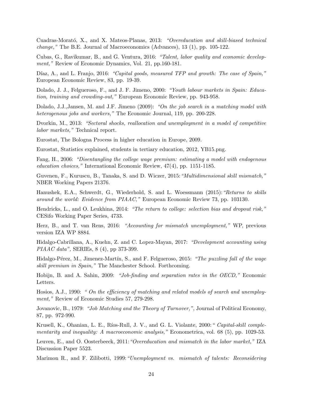Cuadras-Morató, X., and X. Mateos-Planas, 2013: "Overeducation and skill-biased technical change," The B.E. Journal of Macroeconomics (Advances), 13 (1), pp. 105-122.

Cubas, G., Ravikumar, B., and G. Ventura, 2016: "Talent, labor quality and economic development," Review of Economic Dynamics, Vol. 21, pp.160-181.

Díaz, A., and L. Franjo, 2016: "Capital goods, measured TFP and growth: The case of Spain," European Economic Review, 83, pp. 19-39.

Dolado, J. J., Felgueroso, F., and J. F. Jimeno, 2000: "Youth labour markets in Spain: Education, training and crowding-out," European Economic Review, pp. 943-958.

Dolado, J.J.,Jansen, M. and J.F. Jimeno (2009): "On the job search in a matching model with heterogenous jobs and workers," The Economic Journal, 119, pp. 200-228.

Dvorkin, M., 2013: "Sectoral shocks, reallocation and unemployment in a model of competitive labor markets," Technical report.

Eurostat, The Bologna Process in higher education in Europe, 2009.

Eurostat, Statistics explained, students in tertiary education, 2012, YB15.png.

Fang, H., 2006: "Disentangling the college wage premium: estimating a model with endogenous education choices," International Economic Review, 47(4), pp. 1151-1185.

Guvenen, F., Kuruscu, B., Tanaka, S. and D. Wiczer, 2015: "*Multidimensional skill mismatch*," NBER Working Papers 21376.

Hanushek, E.A., Schwerdt, G., Wiederhold, S. and L. Woessmann (2015): "Returns to skills around the world: Evidence from PIAAC," European Economic Review 73, pp. 103130.

Hendricks, L., and O. Leukhina, 2014: "The return to college: selection bias and dropout risk," CESifo Working Paper Series, 4733.

Herz, B., and T. van Rens, 2016: "Accounting for mismatch unemployment," WP, previous version IZA WP 8884.

Hidalgo-Cabrillana, A., Kuehn, Z. and C. Lopez-Mayan, 2017: "Development accounting using PIAAC data", SERIEs, 8 (4), pp 373-399.

Hidalgo-Pérez, M., Jimenez-Martín, S., and F. Felgueroso, 2015: "The puzzling fall of the wage skill premium in Spain," The Manchester School. Forthcoming.

Hobijn, B. and A. Sahin, 2009: "Job-finding and separation rates in the OECD," Economic Letters.

Hosios, A.J., 1990: " On the efficiency of matching and related models of search and unemployment," Review of Economic Studies 57, 279-298.

Jovanovic, B., 1979: "Job Matching and the Theory of Turnover,", Journal of Political Economy, 87, pp. 972-990.

Krusell, K., Ohanian, L. E., Ríos-Rull, J. V., and G. L. Violante, 2000: "Capital-skill complementarity and inequality: A macroeconomic analysis," Econometrica, vol. 68 (5), pp. 1029-53.

Leuven, E., and O. Oosterbeeck, 2011: "Overeducation and mismatch in the labor market," IZA Discussion Paper 5523.

Marimon R., and F. Zilibotti, 1999: "Unemployment vs. mismatch of talents: Reconsidering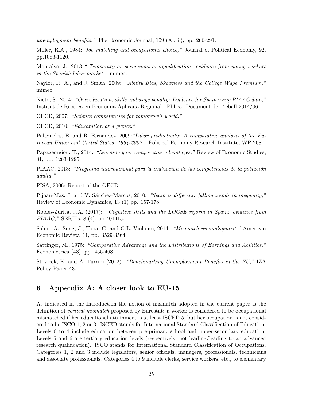unemployment benefits," The Economic Journal, 109 (April), pp. 266-291.

Miller, R.A., 1984:"Job matching and occupational choice," Journal of Political Economy, 92, pp.1086-1120.

Montalvo, J., 2013:" Temporary or permanent overqualification: evidence from young workers in the Spanish labor market," mimeo.

Naylor, R. A., and J. Smith, 2009: "Ability Bias, Skewness and the College Wage Premium," mimeo.

Nieto, S., 2014: "Overeducation, skills and wage penalty: Evidence for Spain using PIAAC data," Institut de Recerca en Economia Aplicada Regional i Pblica. Document de Treball 2014/06.

OECD, 2007: "Science competencies for tomorrow's world."

OECD, 2010: "Educatation at a glance."

Palazuelos, E. and R. Fernández, 2009: "Labor productivity: A comparative analysis of the European Union and United States, 1994-2007," Political Economy Research Institute, WP 208.

Papageorgiou, T., 2014: "Learning your comparative advantages," Review of Economic Studies, 81, pp. 1263-1295.

PIAAC, 2013: "Programa internacional para la evaluación de las competencias de la población adulta."

PISA, 2006: Report of the OECD.

Pijoan-Mas, J. and V. Sánchez-Marcos, 2010: "Spain is different: falling trends in inequality," Review of Economic Dynamics, 13 (1) pp. 157-178.

Robles-Zurita, J.A. (2017): "Cognitive skills and the LOGSE reform in Spain: evidence from PIAAC," SERIEs, 8 (4), pp 401415.

Sahin, A., Song, J., Topa, G. and G.L. Violante, 2014: "Mismatch unemployment," American Economic Review, 11, pp. 3529-3564.

Sattinger, M., 1975: "Comparative Advantage and the Distributions of Earnings and Abilities," Econometrica (43), pp. 455-468.

Stovicek, K. and A. Turrini (2012): "Benchmarking Unemployment Benefits in the EU," IZA Policy Paper 43.

## 6 Appendix A: A closer look to EU-15

As indicated in the Introduction the notion of mismatch adopted in the current paper is the definition of vertical mismatch proposed by Eurostat: a worker is considered to be occupational mismatched if her educational attainment is at least ISCED 5, but her occupation is not considered to be ISCO 1, 2 or 3. ISCED stands for International Standard Classification of Education. Levels 0 to 4 include education between pre-primary school and upper-secondary education. Levels 5 and 6 are tertiary education levels (respectively, not leading/leading to an advanced research qualification). ISCO stands for International Standard Classification of Occupations. Categories 1, 2 and 3 include legislators, senior officials, managers, professionals, technicians and associate professionals. Categories 4 to 9 include clerks, service workers, etc., to elementary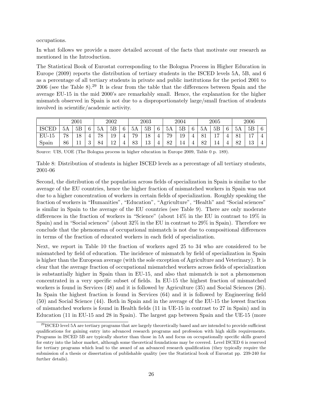occupations.

In what follows we provide a more detailed account of the facts that motivate our research as mentioned in the Introduction.

The Statistical Book of Eurostat corresponding to the Bologna Process in Higher Education in Europe (2009) reports the distribution of tertiary students in the ISCED levels 5A, 5B, and 6 as a percentage of all tertiary students in private and public institutions for the period 2001 to 2006 (see the Table 8).<sup>29</sup> It is clear from the table that the differences between Spain and the average EU-15 in the mid 2000's are remarkably small. Hence, the explanation for the higher mismatch observed in Spain is not due to a disproportionately large/small fraction of students involved in scientific/academic activity.

|         | 2001    |               |                             | 2002           |   | 2003     |    | 2004 |               | 2005 |          |    | 2006                 |    |               |               |       |
|---------|---------|---------------|-----------------------------|----------------|---|----------|----|------|---------------|------|----------|----|----------------------|----|---------------|---------------|-------|
| ISCE!   | ЭA      | $5\mathrm{B}$ | $\tilde{\phantom{a}}$<br>эA | 5B             | 6 | 5A       | 5B |      | h<br>ÜД       | ப    | $\kappa$ | 5Α | $5\mathrm{B}$        | b  | 5A            | 5B            | r     |
| $EU-15$ | 70<br>O | 18            | 70<br>ГC                    | 19             | 4 | 79       | 18 |      | 79            | 19   | ᅩ        |    | $\overline{1}$<br>┻. | л. | O 1<br>OΙ     | −<br><b>.</b> |       |
| Spain   | 86      |               |                             | $\Omega$<br>∸∸ | ∸ | ວາ<br>οə | 13 |      | $\circ$<br>OΖ | 14   |          | 82 | ⊥±                   |    | $\circ$<br>∟ت | റ<br>ΤÛ       | $\pm$ |

Source: UIS, UOE (The Bologna process in higher education in Europe 2009, Table 0 p. 189).

Table 8: Distribution of students in higher ISCED levels as a percentage of all tertiary students, 2001-06

Second, the distribution of the population across fields of specialization in Spain is similar to the average of the EU countries, hence the higher fraction of mismatched workers in Spain was not due to a higher concentration of workers in certain fields of specialization. Roughly speaking the fraction of workers in "Humanities", "Education", "Agriculture", "Health" and "Social sciences" is similar in Spain to the average of the EU countries (see Table 9). There are only moderate differences in the fraction of workers in "Science" (about 14% in the EU in contrast to 19% in Spain) and in "Social sciences" (about 32% in the EU in contrast to 29% in Spain). Therefore we conclude that the phenomena of occupational mismatch is not due to compositional differences in terms of the fraction of educated workers in each field of specialization.

Next, we report in Table 10 the fraction of workers aged 25 to 34 who are considered to be mismatched by field of education. The incidence of mismatch by field of specialization in Spain is higher than the European average (with the sole exception of Agriculture and Veterinary). It is clear that the average fraction of occupational mismatched workers across fields of specialization is substantially higher in Spain than in EU-15, and also that mismatch is not a phenomenon concentrated in a very specific subset of fields. In EU-15 the highest fraction of mismatched workers is found in Services (48) and it is followed by Agriculture (35) and Social Sciences (26). In Spain the highest fraction is found in Services (64) and it is followed by Engineering field (50) and Social Science (44). Both in Spain and in the average of the EU-15 the lowest fraction of mismatched workers is found in Health fields (11 in UE-15 in contrast to 27 in Spain) and in Education (11 in EU-15 and 28 in Spain). The largest gap between Spain and the UE-15 (more

<sup>&</sup>lt;sup>29</sup>ISCED level 5A are tertiary programs that are largely theoretically based and are intended to provide sufficient qualifications for gaining entry into advanced research programs and profession with high skills requirements. Programs in ISCED 5B are typically shorter than those in 5A and focus on occupationally specific skills geared for entry into the labor market, although some theoretical foundations may be covered. Level ISCED 6 is reserved for tertiary programs which lead to the award of an advanced research qualification (they typically require the submission of a thesis or dissertation of publishable quality (see the Statistical book of Eurostat pp. 239-240 for further details).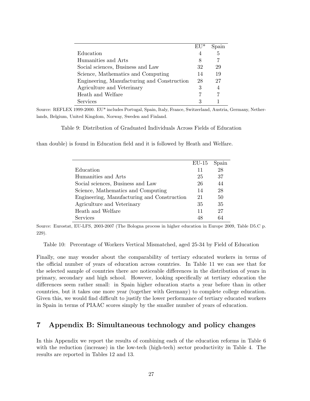|                                             | $EU^*$ | pain |
|---------------------------------------------|--------|------|
| Education                                   | 4      | 5    |
| Humanities and Arts                         | 8      |      |
| Social sciences, Business and Law           | 32     | 29   |
| Science, Mathematics and Computing          | 14     | 19   |
| Engineering, Manufacturing and Construction | 28     | 27   |
| Agriculture and Veterinary                  |        | 4    |
| Heath and Welfare                           |        |      |
| Services                                    |        |      |

Source: REFLEX 1999-2000. EU\* includes Portugal, Spain, Italy, France, Switzerland, Austria, Germany, Netherlands, Belgium, United Kingdom, Norway, Sweden and Finland.

Table 9: Distribution of Graduated Individuals Across Fields of Education

than double) is found in Education field and it is followed by Heath and Welfare.

|                                             | $EU-15$ | Spain |
|---------------------------------------------|---------|-------|
| Education                                   | 11      | 28    |
| Humanities and Arts                         | 25      | 37    |
| Social sciences, Business and Law           | 26      | 44    |
| Science, Mathematics and Computing          | 14      | 28    |
| Engineering, Manufacturing and Construction | 21      | 50    |
| Agriculture and Veterinary                  | 35      | 35    |
| Heath and Welfare                           | 11      | 27    |
| Services                                    | 48      | 64    |

Source: Eurostat, EU-LFS, 2003-2007 (The Bologna process in higher education in Europe 2009, Table D5.C p. 229).

Table 10: Percentage of Workers Vertical Mismatched, aged 25-34 by Field of Education

Finally, one may wonder about the comparability of tertiary educated workers in terms of the official number of years of education across countries. In Table 11 we can see that for the selected sample of countries there are noticeable differences in the distribution of years in primary, secondary and high school. However, looking specifically at tertiary education the differences seem rather small: in Spain higher education starts a year before than in other countries, but it takes one more year (together with Germany) to complete college education. Given this, we would find difficult to justify the lower performance of tertiary educated workers in Spain in terms of PIAAC scores simply by the smaller number of years of education.

# 7 Appendix B: Simultaneous technology and policy changes

In this Appendix we report the results of combining each of the education reforms in Table 6 with the reduction (increase) in the low-tech (high-tech) sector productivity in Table 4. The results are reported in Tables 12 and 13.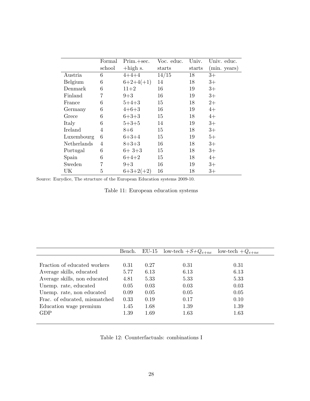|             | Formal | Prim.+sec.  | Voc. educ. | Univ.  | Univ. educ.  |
|-------------|--------|-------------|------------|--------|--------------|
|             | school | $+$ high s. | starts     | starts | (min. years) |
| Austria     | 6      | $4 + 4 + 4$ | 14/15      | 18     | $3+$         |
| Belgium     | 6      | $6+2+4(+1)$ | 14         | 18     | $3+$         |
| Denmark     | 6      | $11 + 2$    | 16         | 19     | $3+$         |
| Finland     | 7      | $9 + 3$     | 16         | 19     | $3+$         |
| France      | 6      | $5 + 4 + 3$ | 15         | 18     | $2+$         |
| Germany     | 6      | $4 + 6 + 3$ | 16         | 19     | $4+$         |
| Grece       | 6      | $6 + 3 + 3$ | 15         | 18     | $4+$         |
| Italy       | 6      | $5 + 3 + 5$ | 14         | 19     | $3+$         |
| Ireland     | 4      | $8 + 6$     | 15         | 18     | $3+$         |
| Luxembourg  | 6      | $6 + 3 + 4$ | 15         | 19     | $5+$         |
| Netherlands | 4      | $8+3+3$     | 16         | 18     | $3+$         |
| Portugal    | 6      | $6+3+3$     | 15         | 18     | $3+$         |
| Spain       | 6      | $6 + 4 + 2$ | 15         | 18     | $4+$         |
| Sweden      | 7      | $9 + 3$     | 16         | 19     | $3+$         |
| UK          | 5      | $6+3+2(+2)$ | 16         | 18     | $3+$         |

Source: Eurydice, The structure of the European Education systems 2009-10.

Table 11: European education systems

|                               | Bench. | $EU-15$ | low-tech $+S+Q_{e+ne}$ | low-tech $+Q_{e+ne}$ |  |
|-------------------------------|--------|---------|------------------------|----------------------|--|
|                               |        |         |                        |                      |  |
| Fraction of educated workers  | 0.31   | 0.27    | 0.31                   | 0.31                 |  |
| Average skills, educated      | 5.77   | 6.13    | 6.13                   | 6.13                 |  |
| Average skills, non educated  | 4.81   | 5.33    | 5.33                   | 5.33                 |  |
| Unemp. rate, educated         | 0.05   | 0.03    | 0.03                   | 0.03                 |  |
| Unemp. rate, non educated     | 0.09   | 0.05    | 0.05                   | 0.05                 |  |
| Frac. of educated, mismatched | 0.33   | 0.19    | 0.17                   | 0.10                 |  |
| Education wage premium        | 1.45   | 1.68    | 1.39                   | 1.39                 |  |
| GDP                           | 1.39   | 1.69    | 1.63                   | 1.63                 |  |
|                               |        |         |                        |                      |  |

Table 12: Counterfactuals: combinations I